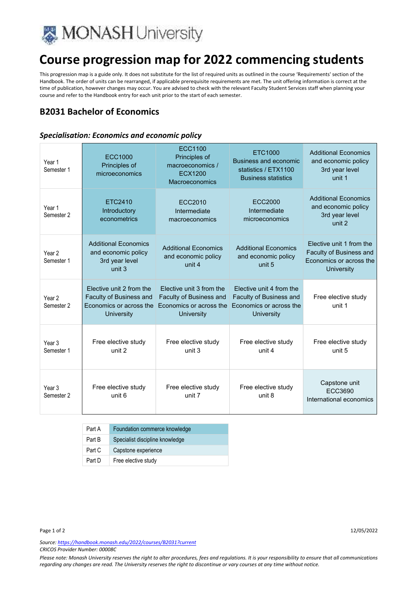

# **Course progression map for 2022 commencing students**

This progression map is a guide only. It does not substitute for the list of required units as outlined in the course 'Requirements' section of the Handbook. The order of units can be rearranged, if applicable prerequisite requirements are met. The unit offering information is correct at the time of publication, however changes may occur. You are advised to check with the relevant Faculty Student Services staff when planning your course and refer to the Handbook entry for each unit prior to the start of each semester.

## **B2031 Bachelor of Economics**

#### *Specialisation: Economics and economic policy*

| Year 1<br>Semester 1                       | <b>ECC1000</b><br>Principles of<br>microeconomics                                                          | ECC1100<br>Principles of<br>macroeconomics /<br><b>ECX1200</b><br>Macroeconomics                    | ETC1000<br>Business and economic<br>statistics / ETX1100<br><b>Business statistics</b>                     | <b>Additional Economics</b><br>and economic policy<br>3rd year level<br>unit 1               |
|--------------------------------------------|------------------------------------------------------------------------------------------------------------|-----------------------------------------------------------------------------------------------------|------------------------------------------------------------------------------------------------------------|----------------------------------------------------------------------------------------------|
| Year 1<br>Semester 2                       | ETC2410<br>Introductory<br>econometrics                                                                    | ECC2010<br>Intermediate<br>macroeconomics                                                           | <b>ECC2000</b><br>Intermediate<br>microeconomics                                                           | <b>Additional Economics</b><br>and economic policy<br>3rd year level<br>unit 2               |
| Year <sub>2</sub><br>Semester 1            | <b>Additional Economics</b><br>and economic policy<br>3rd year level<br>unit <sub>3</sub>                  | <b>Additional Economics</b><br>and economic policy<br>unit 4                                        | <b>Additional Economics</b><br>and economic policy<br>unit 5                                               | Elective unit 1 from the<br>Faculty of Business and<br>Economics or across the<br>University |
| Year <sub>2</sub><br>Semester <sub>2</sub> | Flective unit 2 from the<br><b>Faculty of Business and</b><br>Economics or across the<br><b>University</b> | Flective unit 3 from the<br><b>Faculty of Business and</b><br>Fconomics or across the<br>University | Flective unit 4 from the<br><b>Faculty of Business and</b><br>Economics or across the<br><b>University</b> | Free elective study<br>unit 1                                                                |
| Year 3<br>Semester 1                       | Free elective study<br>unit 2                                                                              | Free elective study<br>unit 3                                                                       | Free elective study<br>unit 4                                                                              | Free elective study<br>unit 5                                                                |
| Year <sub>3</sub><br>Semester <sub>2</sub> | Free elective study<br>unit 6                                                                              | Free elective study<br>unit 7                                                                       | Free elective study<br>unit 8                                                                              | Capstone unit<br>ECC3690<br>International economics                                          |

| Part A | Foundation commerce knowledge   |
|--------|---------------------------------|
| Part B | Specialist discipline knowledge |
| Part C | Capstone experience             |
| Part D | Free elective study             |

*Source: https://handbook.monash.edu/2022/courses/B2031?current CRICOS Provider Number: 00008C* 

*Please note: Monash University reserves the right to alter procedures, fees and regulations. It is your responsibility to ensure that all communications regarding any changes are read. The University reserves the right to discontinue or vary courses at any time without notice.*